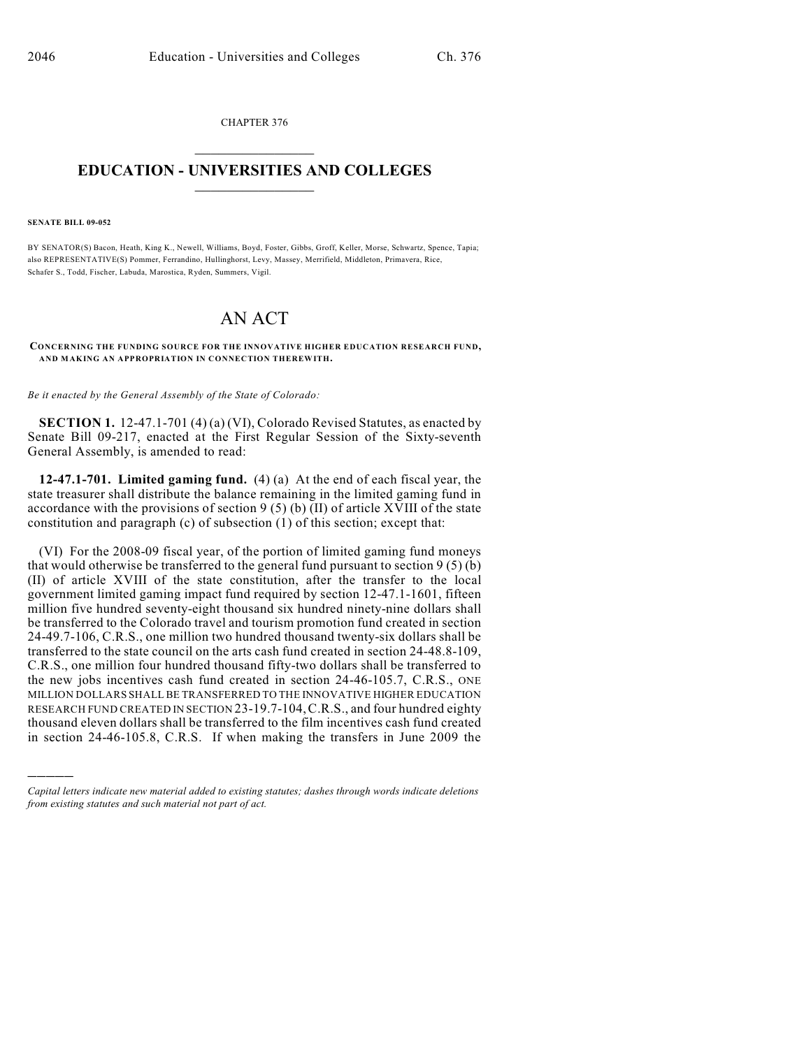CHAPTER 376  $\mathcal{L}_\text{max}$  . The set of the set of the set of the set of the set of the set of the set of the set of the set of the set of the set of the set of the set of the set of the set of the set of the set of the set of the set

## **EDUCATION - UNIVERSITIES AND COLLEGES**  $\_$

## **SENATE BILL 09-052**

)))))

BY SENATOR(S) Bacon, Heath, King K., Newell, Williams, Boyd, Foster, Gibbs, Groff, Keller, Morse, Schwartz, Spence, Tapia; also REPRESENTATIVE(S) Pommer, Ferrandino, Hullinghorst, Levy, Massey, Merrifield, Middleton, Primavera, Rice, Schafer S., Todd, Fischer, Labuda, Marostica, Ryden, Summers, Vigil.

## AN ACT

## **CONCERNING THE FUNDING SOURCE FOR THE INNOVATIVE HIGHER EDUCATION RESEARCH FUND, AND MAKING AN APPROPRIATION IN CONNECTION THEREWITH.**

*Be it enacted by the General Assembly of the State of Colorado:*

**SECTION 1.** 12-47.1-701 (4) (a) (VI), Colorado Revised Statutes, as enacted by Senate Bill 09-217, enacted at the First Regular Session of the Sixty-seventh General Assembly, is amended to read:

**12-47.1-701. Limited gaming fund.** (4) (a) At the end of each fiscal year, the state treasurer shall distribute the balance remaining in the limited gaming fund in accordance with the provisions of section 9 (5) (b) (II) of article XVIII of the state constitution and paragraph (c) of subsection (1) of this section; except that:

(VI) For the 2008-09 fiscal year, of the portion of limited gaming fund moneys that would otherwise be transferred to the general fund pursuant to section  $9(5)(b)$ (II) of article XVIII of the state constitution, after the transfer to the local government limited gaming impact fund required by section 12-47.1-1601, fifteen million five hundred seventy-eight thousand six hundred ninety-nine dollars shall be transferred to the Colorado travel and tourism promotion fund created in section 24-49.7-106, C.R.S., one million two hundred thousand twenty-six dollars shall be transferred to the state council on the arts cash fund created in section 24-48.8-109, C.R.S., one million four hundred thousand fifty-two dollars shall be transferred to the new jobs incentives cash fund created in section 24-46-105.7, C.R.S., ONE MILLION DOLLARS SHALL BE TRANSFERRED TO THE INNOVATIVE HIGHER EDUCATION RESEARCH FUND CREATED IN SECTION 23-19.7-104,C.R.S., and four hundred eighty thousand eleven dollars shall be transferred to the film incentives cash fund created in section 24-46-105.8, C.R.S. If when making the transfers in June 2009 the

*Capital letters indicate new material added to existing statutes; dashes through words indicate deletions from existing statutes and such material not part of act.*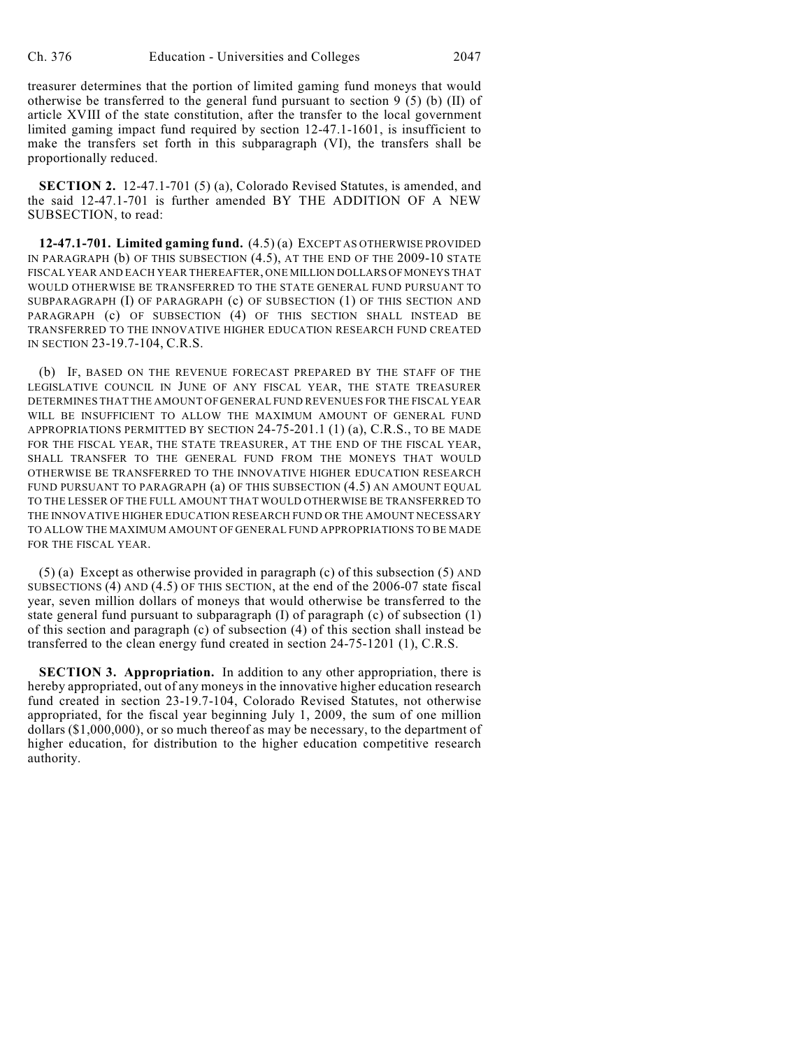treasurer determines that the portion of limited gaming fund moneys that would otherwise be transferred to the general fund pursuant to section 9 (5) (b) (II) of article XVIII of the state constitution, after the transfer to the local government limited gaming impact fund required by section 12-47.1-1601, is insufficient to make the transfers set forth in this subparagraph (VI), the transfers shall be proportionally reduced.

**SECTION 2.** 12-47.1-701 (5) (a), Colorado Revised Statutes, is amended, and the said 12-47.1-701 is further amended BY THE ADDITION OF A NEW SUBSECTION, to read:

**12-47.1-701. Limited gaming fund.** (4.5) (a) EXCEPT AS OTHERWISE PROVIDED IN PARAGRAPH (b) OF THIS SUBSECTION (4.5), AT THE END OF THE 2009-10 STATE FISCAL YEAR AND EACH YEAR THEREAFTER, ONE MILLION DOLLARS OF MONEYS THAT WOULD OTHERWISE BE TRANSFERRED TO THE STATE GENERAL FUND PURSUANT TO SUBPARAGRAPH (I) OF PARAGRAPH (c) OF SUBSECTION (1) OF THIS SECTION AND PARAGRAPH (c) OF SUBSECTION (4) OF THIS SECTION SHALL INSTEAD BE TRANSFERRED TO THE INNOVATIVE HIGHER EDUCATION RESEARCH FUND CREATED IN SECTION 23-19.7-104, C.R.S.

(b) IF, BASED ON THE REVENUE FORECAST PREPARED BY THE STAFF OF THE LEGISLATIVE COUNCIL IN JUNE OF ANY FISCAL YEAR, THE STATE TREASURER DETERMINES THAT THE AMOUNT OF GENERAL FUND REVENUES FOR THE FISCAL YEAR WILL BE INSUFFICIENT TO ALLOW THE MAXIMUM AMOUNT OF GENERAL FUND APPROPRIATIONS PERMITTED BY SECTION 24-75-201.1 (1) (a), C.R.S., TO BE MADE FOR THE FISCAL YEAR, THE STATE TREASURER, AT THE END OF THE FISCAL YEAR, SHALL TRANSFER TO THE GENERAL FUND FROM THE MONEYS THAT WOULD OTHERWISE BE TRANSFERRED TO THE INNOVATIVE HIGHER EDUCATION RESEARCH FUND PURSUANT TO PARAGRAPH (a) OF THIS SUBSECTION (4.5) AN AMOUNT EQUAL TO THE LESSER OF THE FULL AMOUNT THAT WOULD OTHERWISE BE TRANSFERRED TO THE INNOVATIVE HIGHER EDUCATION RESEARCH FUND OR THE AMOUNT NECESSARY TO ALLOW THE MAXIMUM AMOUNT OF GENERAL FUND APPROPRIATIONS TO BE MADE FOR THE FISCAL YEAR.

(5) (a) Except as otherwise provided in paragraph (c) of this subsection (5) AND SUBSECTIONS (4) AND (4.5) OF THIS SECTION, at the end of the 2006-07 state fiscal year, seven million dollars of moneys that would otherwise be transferred to the state general fund pursuant to subparagraph (I) of paragraph (c) of subsection (1) of this section and paragraph (c) of subsection (4) of this section shall instead be transferred to the clean energy fund created in section 24-75-1201 (1), C.R.S.

**SECTION 3. Appropriation.** In addition to any other appropriation, there is hereby appropriated, out of any moneys in the innovative higher education research fund created in section 23-19.7-104, Colorado Revised Statutes, not otherwise appropriated, for the fiscal year beginning July 1, 2009, the sum of one million dollars (\$1,000,000), or so much thereof as may be necessary, to the department of higher education, for distribution to the higher education competitive research authority.